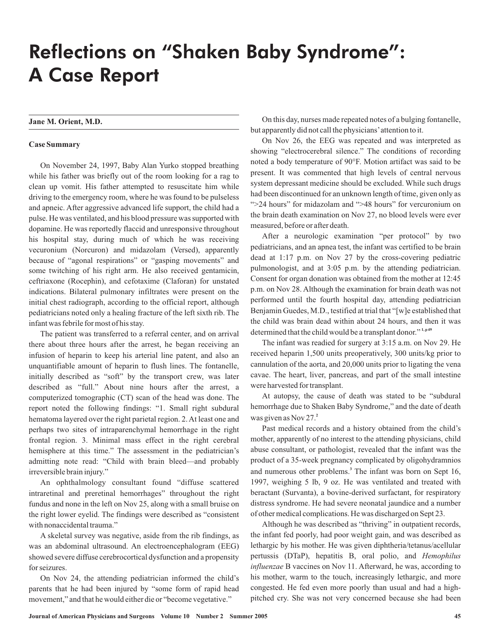# Reflections on "Shaken Baby Syndrome": A Case Report

## **Jane M. Orient, M.D.**

### **Case Summary**

On November 24, 1997, Baby Alan Yurko stopped breathing while his father was briefly out of the room looking for a rag to clean up vomit. His father attempted to resuscitate him while driving to the emergency room, where he was found to be pulseless and apneic. After aggressive advanced life support, the child had a pulse. He was ventilated, and his blood pressure was supported with dopamine. He was reportedly flaccid and unresponsive throughout his hospital stay, during much of which he was receiving vecuronium (Norcuron) and midazolam (Versed), apparently because of "agonal respirations" or "gasping movements" and some twitching of his right arm. He also received gentamicin, ceftriaxone (Rocephin), and cefotaxime (Claforan) for unstated indications. Bilateral pulmonary infiltrates were present on the initial chest radiograph, according to the official report, although pediatricians noted only a healing fracture of the left sixth rib. The infant was febrile for most of his stay.

The patient was transferred to a referral center, and on arrival there about three hours after the arrest, he began receiving an infusion of heparin to keep his arterial line patent, and also an unquantifiable amount of heparin to flush lines. The fontanelle, initially described as "soft" by the transport crew, was later described as "full." About nine hours after the arrest, a computerized tomographic (CT) scan of the head was done. The report noted the following findings: "1. Small right subdural hematoma layered over the right parietal region. 2. At least one and perhaps two sites of intraparenchymal hemorrhage in the right frontal region. 3. Minimal mass effect in the right cerebral hemisphere at this time." The assessment in the pediatrician's admitting note read: "Child with brain bleed—and probably irreversible brain injury."

An ophthalmology consultant found "diffuse scattered intraretinal and preretinal hemorrhages" throughout the right fundus and none in the left on Nov 25, along with a small bruise on the right lower eyelid. The findings were described as "consistent with nonaccidental trauma."

A skeletal survey was negative, aside from the rib findings, as was an abdominal ultrasound. An electroencephalogram (EEG) showed severe diffuse cerebrocortical dysfunction and a propensity for seizures.

On Nov 24, the attending pediatrician informed the child's parents that he had been injured by "some form of rapid head movement," and that he would either die or "become vegetative."

On this day, nurses made repeated notes of a bulging fontanelle, but apparently did not call the physicians'attention to it.

On Nov 26, the EEG was repeated and was interpreted as showing "electrocerebral silence." The conditions of recording noted a body temperature of 90°F. Motion artifact was said to be present. It was commented that high levels of central nervous system depressant medicine should be excluded. While such drugs had been discontinued for an unknown length of time, given only as ">24 hours" for midazolam and ">48 hours" for vercuronium on the brain death examination on Nov 27, no blood levels were ever measured, before or after death.

After a neurologic examination "per protocol" by two pediatricians, and an apnea test, the infant was certified to be brain dead at 1:17 p.m. on Nov 27 by the cross-covering pediatric pulmonologist, and at 3:05 p.m. by the attending pediatrician. Consent for organ donation was obtained from the mother at 12:45 p.m. on Nov 28. Although the examination for brain death was not performed until the fourth hospital day, attending pediatrician Benjamin Guedes, M.D., testified at trial that "[w]e established that the child was brain dead within about 24 hours, and then it was determined that the child would be a transplant donor."<sup>1,p49</sup>

The infant was readied for surgery at 3:15 a.m. on Nov 29. He received heparin 1,500 units preoperatively, 300 units/kg prior to cannulation of the aorta, and 20,000 units prior to ligating the vena cavae. The heart, liver, pancreas, and part of the small intestine were harvested for transplant.

At autopsy, the cause of death was stated to be "subdural hemorrhage due to Shaken Baby Syndrome," and the date of death was given as Nov 27. **2**

Past medical records and a history obtained from the child's mother, apparently of no interest to the attending physicians, child abuse consultant, or pathologist, revealed that the infant was the product of a 35-week pregnancy complicated by oligohydramnios and numerous other problems.<sup>3</sup> The infant was born on Sept 16, 1997, weighing 5 lb, 9 oz. He was ventilated and treated with beractant (Survanta), a bovine-derived surfactant, for respiratory distress syndrome. He had severe neonatal jaundice and a number of other medical complications. He was discharged on Sept 23.

Although he was described as "thriving" in outpatient records, the infant fed poorly, had poor weight gain, and was described as lethargic by his mother. He was given diphtheria/tetanus/acellular pertussis (DTaP), hepatitis B, oral polio, and *Hemophilus* influenzae B vaccines on Nov 11. Afterward, he was, according to his mother, warm to the touch, increasingly lethargic, and more congested. He fed even more poorly than usual and had a highpitched cry. She was not very concerned because she had been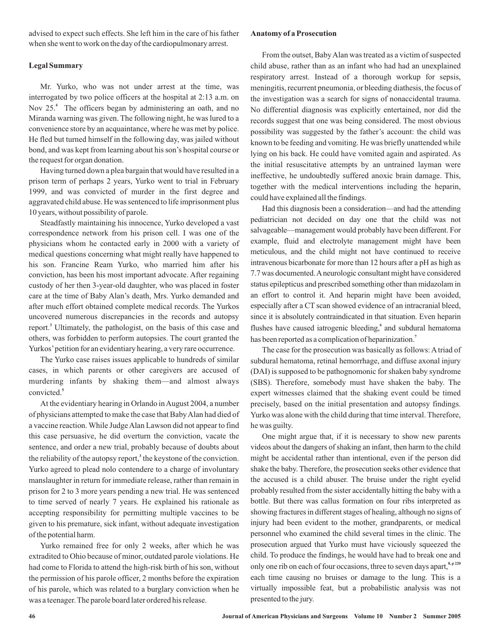advised to expect such effects. She left him in the care of his father when she went to work on the day of the cardiopulmonary arrest.

## **Legal Summary**

Mr. Yurko, who was not under arrest at the time, was interrogated by two police officers at the hospital at 2:13 a.m. on Nov 25.<sup>4</sup> The officers began by administering an oath, and no Miranda warning was given. The following night, he was lured to a convenience store by an acquaintance, where he was met by police. He fled but turned himself in the following day, was jailed without bond, and was kept from learning about his son's hospital course or the request for organ donation.

Having turned down a plea bargain that would have resulted in a prison term of perhaps 2 years, Yurko went to trial in February 1999, and was convicted of murder in the first degree and aggravated child abuse. He was sentenced to life imprisonment plus 10 years, without possibility of parole.

Steadfastly maintaining his innocence, Yurko developed a vast correspondence network from his prison cell. I was one of the physicians whom he contacted early in 2000 with a variety of medical questions concerning what might really have happened to his son. Francine Ream Yurko, who married him after his conviction, has been his most important advocate. After regaining custody of her then 3-year-old daughter, who was placed in foster care at the time of Baby Alan's death, Mrs. Yurko demanded and after much effort obtained complete medical records. The Yurkos uncovered numerous discrepancies in the records and autopsy report.<sup>3</sup> Ultimately, the pathologist, on the basis of this case and others, was forbidden to perform autopsies. The court granted the Yurkos'petition for an evidentiary hearing, a very rare occurrence.

The Yurko case raises issues applicable to hundreds of similar cases, in which parents or other caregivers are accused of murdering infants by shaking them—and almost always convicted. **5**

At the evidentiary hearing in Orlando in August 2004, a number of physicians attempted to make the case that BabyAlan had died of a vaccine reaction.While JudgeAlan Lawson did not appear to find this case persuasive, he did overturn the conviction, vacate the sentence, and order a new trial, probably because of doubts about the reliability of the autopsy report,<sup>3</sup> the keystone of the conviction. Yurko agreed to plead nolo contendere to a charge of involuntary manslaughter in return for immediate release, rather than remain in prison for 2 to 3 more years pending a new trial. He was sentenced to time served of nearly 7 years. He explained his rationale as accepting responsibility for permitting multiple vaccines to be given to his premature, sick infant, without adequate investigation of the potential harm.

Yurko remained free for only 2 weeks, after which he was extradited to Ohio because of minor, outdated parole violations. He had come to Florida to attend the high-risk birth of his son, without the permission of his parole officer, 2 months before the expiration of his parole, which was related to a burglary conviction when he was a teenager. The parole board later ordered his release.

## **Anatomy of a Prosecution**

From the outset, Baby Alan was treated as a victim of suspected child abuse, rather than as an infant who had had an unexplained respiratory arrest. Instead of a thorough workup for sepsis, meningitis, recurrent pneumonia, or bleeding diathesis, the focus of the investigation was a search for signs of nonaccidental trauma. No differential diagnosis was explicitly entertained, nor did the records suggest that one was being considered. The most obvious possibility was suggested by the father's account: the child was known to be feeding and vomiting. He was briefly unattended while lying on his back. He could have vomited again and aspirated. As the initial resuscitative attempts by an untrained layman were ineffective, he undoubtedly suffered anoxic brain damage. This, together with the medical interventions including the heparin, could have explained all the findings.

Had this diagnosis been a consideration—and had the attending pediatrician not decided on day one that the child was not salvageable—management would probably have been different. For example, fluid and electrolyte management might have been meticulous, and the child might not have continued to receive intravenous bicarbonate for more than 12 hours after a pH as high as 7.7 was documented.A neurologic consultant might have considered status epilepticus and prescribed something other than midazolam in an effort to control it. And heparin might have been avoided, especially after a CT scan showed evidence of an intracranial bleed, since it is absolutely contraindicated in that situation. Even heparin flushes have caused iatrogenic bleeding,<sup>6</sup> and subdural hematoma has been reported as a complication of heparinization.<sup>7</sup>

The case for the prosecution was basically as follows: Atriad of subdural hematoma, retinal hemorrhage, and diffuse axonal injury (DAI) is supposed to be pathognomonic for shaken baby syndrome (SBS). Therefore, somebody must have shaken the baby. The expert witnesses claimed that the shaking event could be timed precisely, based on the initial presentation and autopsy findings. Yurko was alone with the child during that time interval. Therefore, he was guilty.

One might argue that, if it is necessary to show new parents videos about the dangers of shaking an infant, then harm to the child might be accidental rather than intentional, even if the person did shake the baby. Therefore, the prosecution seeks other evidence that the accused is a child abuser. The bruise under the right eyelid probably resulted from the sister accidentally hitting the baby with a bottle. But there was callus formation on four ribs interpreted as showing fractures in different stages of healing, although no signs of injury had been evident to the mother, grandparents, or medical personnel who examined the child several times in the clinic. The prosecution argued that Yurko must have viciously squeezed the child. To produce the findings, he would have had to break one and only one rib on each of four occasions, three to seven days apart,<sup>8, p 220</sup> each time causing no bruises or damage to the lung. This is a virtually impossible feat, but a probabilistic analysis was not presented to the jury.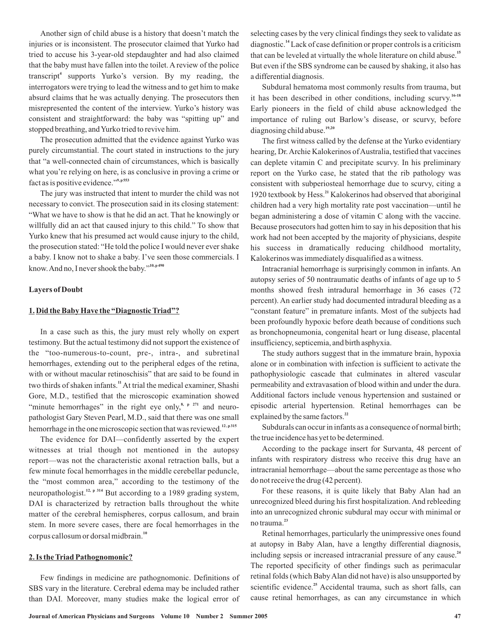Another sign of child abuse is a history that doesn't match the injuries or is inconsistent. The prosecutor claimed that Yurko had tried to accuse his 3-year-old stepdaughter and had also claimed that the baby must have fallen into the toilet. A review of the police transcript<sup>4</sup> supports Yurko's version. By my reading, the interrogators were trying to lead the witness and to get him to make absurd claims that he was actually denying. The prosecutors then misrepresented the content of the interview. Yurko's history was consistent and straightforward: the baby was "spitting up" and stopped breathing, and Yurko tried to revive him.

The prosecution admitted that the evidence against Yurko was purely circumstantial. The court stated in instructions to the jury that "a well-connected chain of circumstances, which is basically what you're relying on here, is as conclusive in proving a crime or fact as is positive evidence." **9, p 553**

The jury was instructed that intent to murder the child was not necessary to convict. The prosecution said in its closing statement: "What we have to show is that he did an act. That he knowingly or willfully did an act that caused injury to this child." To show that Yurko knew that his presumed act would cause injury to the child, the prosecution stated: "He told the police I would never ever shake a baby. I know not to shake a baby. I've seen those commercials. I know.And no, I never shook the baby." **10, p 490**

## **Layers of Doubt**

### **1. Did the Baby Have the "DiagnosticTriad"?**

In a case such as this, the jury must rely wholly on expert testimony. But the actual testimony did not support the existence of the "too-numerous-to-count, pre-, intra-, and subretinal hemorrhages, extending out to the peripheral edges of the retina, with or without macular retinoschisis" that are said to be found in two thirds of shaken infants.<sup>11</sup> At trial the medical examiner, Shashi Gore, M.D., testified that the microscopic examination showed "minute hemorrhages" in the right eye only, $\frac{8}{3}$ ,  $\frac{p}{271}$  and neuropathologist Gary Steven Pearl, M.D., said that there was one small hemorrhage in the one microscopic section that was reviewed.<sup>12, p315</sup>

The evidence for DAI—confidently asserted by the expert witnesses at trial though not mentioned in the autopsy report—was not the characteristic axonal retraction balls, but a few minute focal hemorrhages in the middle cerebellar peduncle, the "most common area," according to the testimony of the neuropathologist.<sup>12, p 314</sup> But according to a 1989 grading system, DAI is characterized by retraction balls throughout the white matter of the cerebral hemispheres, corpus callosum, and brain stem. In more severe cases, there are focal hemorrhages in the corpus callosum or dorsal midbrain. **10**

#### **2. Is theTriad Pathognomonic?**

Few findings in medicine are pathognomonic. Definitions of SBS vary in the literature. Cerebral edema may be included rather than DAI. Moreover, many studies make the logical error of selecting cases by the very clinical findings they seek to validate as diagnostic.<sup>14</sup> Lack of case definition or proper controls is a criticism that can be leveled at virtually the whole literature on child abuse. **15** But even if the SBS syndrome can be caused by shaking, it also has a differential diagnosis.

Subdural hematoma most commonly results from trauma, but it has been described in other conditions, including scurvy. **16-18** Early pioneers in the field of child abuse acknowledged the importance of ruling out Barlow's disease, or scurvy, before diagnosing child abuse. **19,20**

The first witness called by the defense at the Yurko evidentiary hearing, Dr. Archie Kalokerinos of Australia, testified that vaccines can deplete vitamin C and precipitate scurvy. In his preliminary report on the Yurko case, he stated that the rib pathology was consistent with subperiosteal hemorrhage due to scurvy, citing a 1920 textbook by Hess.<sup>21</sup> Kalokerinos had observed that aboriginal children had a very high mortality rate post vaccination—until he began administering a dose of vitamin C along with the vaccine. Because prosecutors had gotten him to say in his deposition that his work had not been accepted by the majority of physicians, despite his success in dramatically reducing childhood mortality, Kalokerinos was immediately disqualified as a witness.

Intracranial hemorrhage is surprisingly common in infants. An autopsy series of 50 nontraumatic deaths of infants of age up to 5 months showed fresh intradural hemorrhage in 36 cases (72 percent). An earlier study had documented intradural bleeding as a "constant feature" in premature infants. Most of the subjects had been profoundly hypoxic before death because of conditions such as bronchopneumonia, congenital heart or lung disease, placental insufficiency, septicemia, and birth asphyxia.

The study authors suggest that in the immature brain, hypoxia alone or in combination with infection is sufficient to activate the pathophysiologic cascade that culminates in altered vascular permeability and extravasation of blood within and under the dura. Additional factors include venous hypertension and sustained or episodic arterial hypertension. Retinal hemorrhages can be explained by the same factors. **22**

Subdurals can occur in infants as a consequence of normal birth; the true incidence has yet to be determined.

According to the package insert for Survanta, 48 percent of infants with respiratory distress who receive this drug have an intracranial hemorrhage—about the same percentage as those who do not receive the drug (42 percent).

For these reasons, it is quite likely that Baby Alan had an unrecognized bleed during his first hospitalization. And rebleeding into an unrecognized chronic subdural may occur with minimal or no trauma. **23**

Retinal hemorrhages, particularly the unimpressive ones found at autopsy in Baby Alan, have a lengthy differential diagnosis, including sepsis or increased intracranial pressure of any cause. **24** The reported specificity of other findings such as perimacular retinal folds (which Baby Alan did not have) is also unsupported by scientific evidence.<sup>25</sup> Accidental trauma, such as short falls, can cause retinal hemorrhages, as can any circumstance in which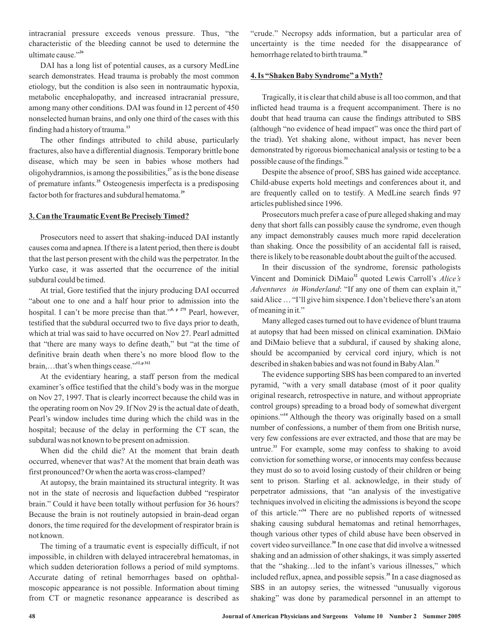intracranial pressure exceeds venous pressure. Thus, "the characteristic of the bleeding cannot be used to determine the ultimate cause." **26**

DAI has a long list of potential causes, as a cursory MedLine search demonstrates. Head trauma is probably the most common etiology, but the condition is also seen in nontraumatic hypoxia, metabolic encephalopathy, and increased intracranial pressure, among many other conditions. DAI was found in 12 percent of 450 nonselected human brains, and only one third of the cases with this finding had a history of trauma. **13**

The other findings attributed to child abuse, particularly fractures, also have a differential diagnosis. Temporary brittle bone disease, which may be seen in babies whose mothers had oligohydramnios, is among the possibilities,<sup>27</sup> as is the bone disease of premature infants.<sup>25</sup> Osteogenesis imperfecta is a predisposing factor both for fractures and subdural hematoma. **29**

## **3. Can theTraumatic Event Be PreciselyTimed?**

Prosecutors need to assert that shaking-induced DAI instantly causes coma and apnea. If there is a latent period, then there is doubt that the last person present with the child was the perpetrator. In the Yurko case, it was asserted that the occurrence of the initial subdural could be timed.

At trial, Gore testified that the injury producing DAI occurred "about one to one and a half hour prior to admission into the hospital. I can't be more precise than that."<sup>8, p 275</sup> Pearl, however, testified that the subdural occurred two to five days prior to death, which at trial was said to have occurred on Nov 27. Pearl admitted that "there are many ways to define death," but "at the time of definitive brain death when there's no more blood flow to the brain,…that's when things cease." **12, p 312**

At the evidentiary hearing, a staff person from the medical examiner's office testified that the child's body was in the morgue on Nov 27, 1997. That is clearly incorrect because the child was in the operating room on Nov 29. If Nov 29 is the actual date of death, Pearl's window includes time during which the child was in the hospital; because of the delay in performing the CT scan, the subdural was not known to be present on admission.

When did the child die? At the moment that brain death occurred, whenever that was? At the moment that brain death was first pronounced? Or when the aorta was cross-clamped?

At autopsy, the brain maintained its structural integrity. It was not in the state of necrosis and liquefaction dubbed "respirator brain." Could it have been totally without perfusion for 36 hours? Because the brain is not routinely autopsied in brain-dead organ donors, the time required for the development of respirator brain is not known.

The timing of a traumatic event is especially difficult, if not impossible, in children with delayed intracerebral hematomas, in which sudden deterioration follows a period of mild symptoms. Accurate dating of retinal hemorrhages based on ophthalmoscopic appearance is not possible. Information about timing from CT or magnetic resonance appearance is described as "crude." Necropsy adds information, but a particular area of uncertainty is the time needed for the disappearance of hemorrhage related to birth trauma. **30**

#### **4. Is "Shaken Baby Syndrome" aMyth?**

Tragically, it is clear that child abuse is all too common, and that inflicted head trauma is a frequent accompaniment. There is no doubt that head trauma can cause the findings attributed to SBS (although "no evidence of head impact" was once the third part of the triad). Yet shaking alone, without impact, has never been demonstrated by rigorous biomechanical analysis or testing to be a possible cause of the findings. **31**

Despite the absence of proof, SBS has gained wide acceptance. Child-abuse experts hold meetings and conferences about it, and are frequently called on to testify. A MedLine search finds 97 articles published since 1996.

Prosecutors much prefer a case of pure alleged shaking and may deny that short falls can possibly cause the syndrome, even though any impact demonstrably causes much more rapid deceleration than shaking. Once the possibility of an accidental fall is raised, there is likely to be reasonable doubt about the guilt of the accused.

In their discussion of the syndrome, forensic pathologists Vincent and Dominick DiMaio<sup>32</sup> quoted Lewis Carroll's Alice's Adventures in Wonderland: "If any one of them can explain it," saidAlice… "I'll give him sixpence. I don't believe there's an atom of meaning in it."

Many alleged cases turned out to have evidence of blunt trauma at autopsy that had been missed on clinical examination. DiMaio and DiMaio believe that a subdural, if caused by shaking alone, should be accompanied by cervical cord injury, which is not described in shaken babies and was not found in BabyAlan. **32**

The evidence supporting SBS has been compared to an inverted pyramid, "with a very small database (most of it poor quality original research, retrospective in nature, and without appropriate control groups) spreading to a broad body of somewhat divergent opinions."<sup>14</sup> Although the theory was originally based on a small number of confessions, a number of them from one British nurse, very few confessions are ever extracted, and those that are may be untrue.<sup>33</sup> For example, some may confess to shaking to avoid conviction for something worse, or innocents may confess because they must do so to avoid losing custody of their children or being sent to prison. Starling et al. acknowledge, in their study of perpetrator admissions, that "an analysis of the investigative techniques involved in eliciting the admissions is beyond the scope of this article."<sup>34</sup> There are no published reports of witnessed shaking causing subdural hematomas and retinal hemorrhages, though various other types of child abuse have been observed in covert video surveillance.<sup>30</sup> In one case that did involve a witnessed shaking and an admission of other shakings, it was simply asserted that the "shaking…led to the infant's various illnesses," which included reflux, apnea, and possible sepsis.<sup>35</sup> In a case diagnosed as SBS in an autopsy series, the witnessed "unusually vigorous shaking" was done by paramedical personnel in an attempt to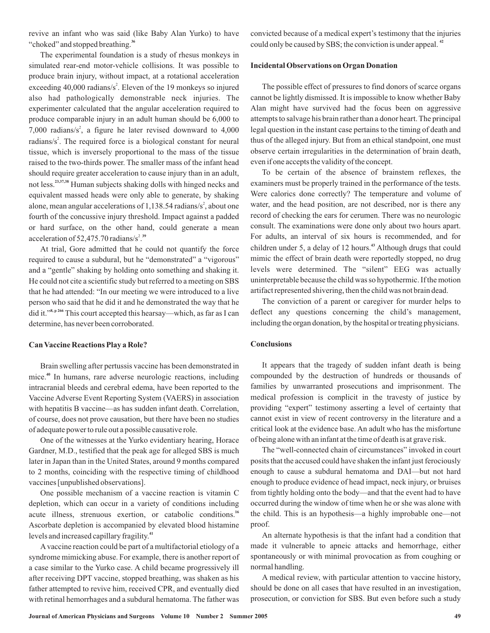revive an infant who was said (like Baby Alan Yurko) to have "choked" and stopped breathing. **36**

The experimental foundation is a study of rhesus monkeys in simulated rear-end motor-vehicle collisions. It was possible to produce brain injury, without impact, at a rotational acceleration exceeding  $40,000$  radians/s<sup>2</sup>. Eleven of the 19 monkeys so injured also had pathologically demonstrable neck injuries. The experimenter calculated that the angular acceleration required to produce comparable injury in an adult human should be 6,000 to 7,000 radians/s<sup>2</sup>, a figure he later revised downward to  $4,000$ radians/ $s^2$ . The required force is a biological constant for neural tissue, which is inversely proportional to the mass of the tissue raised to the two-thirds power. The smaller mass of the infant head should require greater acceleration to cause injury than in an adult, not less.<sup>23,37,38</sup> Human subjects shaking dolls with hinged necks and equivalent massed heads were only able to generate, by shaking alone, mean angular accelerations of 1,138.54 radians/s<sup>2</sup>, about one fourth of the concussive injury threshold. Impact against a padded or hard surface, on the other hand, could generate a mean acceleration of  $52,475.70$  radians/s<sup>2,39</sup>

At trial, Gore admitted that he could not quantify the force required to cause a subdural, but he "demonstrated" a "vigorous" and a "gentle" shaking by holding onto something and shaking it. He could not cite a scientific study but referred to a meeting on SBS that he had attended: "In our meeting we were introduced to a live person who said that he did it and he demonstrated the way that he did it."<sup>8, p 266</sup> This court accepted this hearsay—which, as far as I can determine, has never been corroborated.

#### **Can Vaccine Reactions Play a Role?**

Brain swelling after pertussis vaccine has been demonstrated in mice.<sup>40</sup> In humans, rare adverse neurologic reactions, including intracranial bleeds and cerebral edema, have been reported to the Vaccine Adverse Event Reporting System (VAERS) in association with hepatitis B vaccine—as has sudden infant death. Correlation, of course, does not prove causation, but there have been no studies of adequate power to rule out a possible causative role.

One of the witnesses at the Yurko evidentiary hearing, Horace Gardner, M.D., testified that the peak age for alleged SBS is much later in Japan than in the United States, around 9 months compared to 2 months, coinciding with the respective timing of childhood vaccines [unpublished observations].

One possible mechanism of a vaccine reaction is vitamin C depletion, which can occur in a variety of conditions including acute illness, strenuous exertion, or catabolic conditions. **16** Ascorbate depletion is accompanied by elevated blood histamine levels and increased capillary fragility. **41**

A vaccine reaction could be part of a multifactorial etiology of a syndrome mimicking abuse. For example, there is another report of a case similar to the Yurko case. A child became progressively ill after receiving DPT vaccine, stopped breathing, was shaken as his father attempted to revive him, received CPR, and eventually died with retinal hemorrhages and a subdural hematoma. The father was

convicted because of a medical expert's testimony that the injuries could only be caused by SBS; the conviction is under appeal. **42**

## **Incidental Observations on Organ Donation**

The possible effect of pressures to find donors of scarce organs cannot be lightly dismissed. It is impossible to know whether Baby Alan might have survived had the focus been on aggressive attempts to salvage his brain rather than a donor heart. The principal legal question in the instant case pertains to the timing of death and thus of the alleged injury. But from an ethical standpoint, one must observe certain irregularities in the determination of brain death, even if one accepts the validity of the concept.

To be certain of the absence of brainstem reflexes, the examiners must be properly trained in the performance of the tests. Were calorics done correctly? The temperature and volume of water, and the head position, are not described, nor is there any record of checking the ears for cerumen. There was no neurologic consult. The examinations were done only about two hours apart. For adults, an interval of six hours is recommended, and for children under 5, a delay of 12 hours.<sup>43</sup> Although drugs that could mimic the effect of brain death were reportedly stopped, no drug levels were determined. The "silent" EEG was actually uninterpretable because the child was so hypothermic. If the motion artifact represented shivering, then the child was not brain dead.

The conviction of a parent or caregiver for murder helps to deflect any questions concerning the child's management, including the organ donation, by the hospital or treating physicians.

## **Conclusions**

It appears that the tragedy of sudden infant death is being compounded by the destruction of hundreds or thousands of families by unwarranted prosecutions and imprisonment. The medical profession is complicit in the travesty of justice by providing "expert" testimony asserting a level of certainty that cannot exist in view of recent controversy in the literature and a critical look at the evidence base. An adult who has the misfortune of being alone with an infant at the time of death is at grave risk.

The "well-connected chain of circumstances" invoked in court posits that the accused could have shaken the infant just ferociously enough to cause a subdural hematoma and DAI—but not hard enough to produce evidence of head impact, neck injury, or bruises from tightly holding onto the body—and that the event had to have occurred during the window of time when he or she was alone with the child. This is an hypothesis—a highly improbable one—not proof.

An alternate hypothesis is that the infant had a condition that made it vulnerable to apneic attacks and hemorrhage, either spontaneously or with minimal provocation as from coughing or normal handling.

A medical review, with particular attention to vaccine history, should be done on all cases that have resulted in an investigation, prosecution, or conviction for SBS. But even before such a study